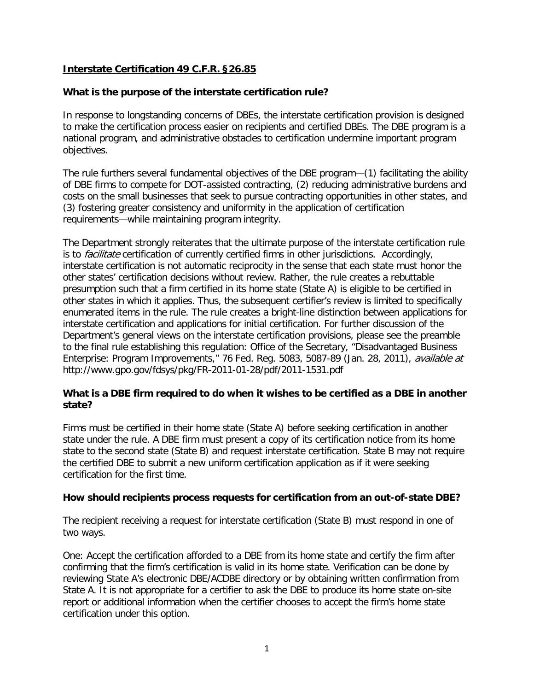# **Interstate Certification 49 C.F.R. §26.85**

## **What is the purpose of the interstate certification rule?**

In response to longstanding concerns of DBEs, the interstate certification provision is designed to make the certification process easier on recipients and certified DBEs. The DBE program is a national program, and administrative obstacles to certification undermine important program objectives.

The rule furthers several fundamental objectives of the DBE program—(1) facilitating the ability of DBE firms to compete for DOT-assisted contracting, (2) reducing administrative burdens and costs on the small businesses that seek to pursue contracting opportunities in other states, and (3) fostering greater consistency and uniformity in the application of certification requirements—while maintaining program integrity.

The Department strongly reiterates that the ultimate purpose of the interstate certification rule is to *facilitate* certification of currently certified firms in other jurisdictions. Accordingly, interstate certification is not automatic reciprocity in the sense that each state must honor the other states' certification decisions without review. Rather, the rule creates a rebuttable presumption such that a firm certified in its home state (State A) is eligible to be certified in other states in which it applies. Thus, the subsequent certifier's review is limited to specifically enumerated items in the rule. The rule creates a bright-line distinction between applications for interstate certification and applications for initial certification. For further discussion of the Department's general views on the interstate certification provisions, please see the preamble to the final rule establishing this regulation: Office of the Secretary, "Disadvantaged Business Enterprise: Program Improvements," 76 Fed. Reg. 5083, 5087-89 (Jan. 28, 2011), available at http://www.gpo.gov/fdsys/pkg/FR-2011-01-28/pdf/2011-1531.pdf

## **What is a DBE firm required to do when it wishes to be certified as a DBE in another state?**

Firms must be certified in their home state (State A) before seeking certification in another state under the rule. A DBE firm must present a copy of its certification notice from its home state to the second state (State B) and request interstate certification. State B may not require the certified DBE to submit a new uniform certification application as if it were seeking certification for the first time.

### **How should recipients process requests for certification from an out-of-state DBE?**

The recipient receiving a request for interstate certification (State B) must respond in one of two ways.

One: Accept the certification afforded to a DBE from its home state and certify the firm after confirming that the firm's certification is valid in its home state. Verification can be done by reviewing State A's electronic DBE/ACDBE directory or by obtaining written confirmation from State A. It is not appropriate for a certifier to ask the DBE to produce its home state on-site report or additional information when the certifier chooses to accept the firm's home state certification under this option.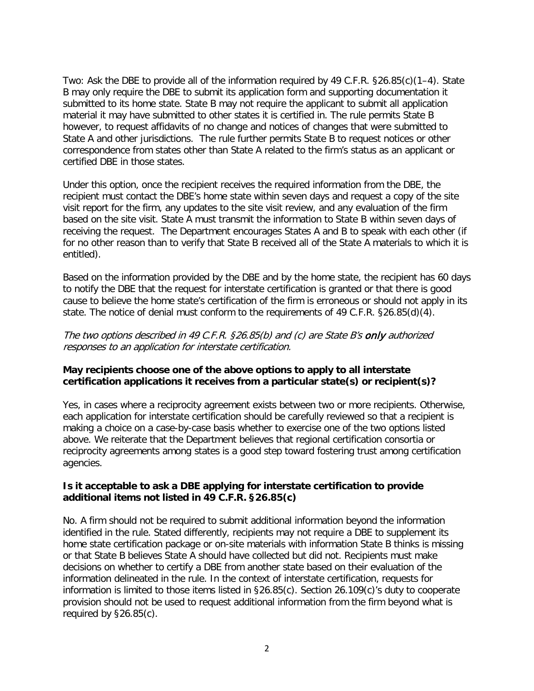Two: Ask the DBE to provide all of the information required by 49 C.F.R. §26.85(c)(1–4). State B may only require the DBE to submit its application form and supporting documentation it submitted to its home state. State B may not require the applicant to submit all application material it may have submitted to other states it is certified in. The rule permits State B however, to request affidavits of no change and notices of changes that were submitted to State A and other jurisdictions. The rule further permits State B to request notices or other correspondence from states other than State A related to the firm's status as an applicant or certified DBE in those states.

Under this option, once the recipient receives the required information from the DBE, the recipient must contact the DBE's home state within seven days and request a copy of the site visit report for the firm, any updates to the site visit review, and any evaluation of the firm based on the site visit. State A must transmit the information to State B within seven days of receiving the request. The Department encourages States A and B to speak with each other (if for no other reason than to verify that State B received all of the State A materials to which it is entitled).

Based on the information provided by the DBE and by the home state, the recipient has 60 days to notify the DBE that the request for interstate certification is granted or that there is good cause to believe the home state's certification of the firm is erroneous or should not apply in its state. The notice of denial must conform to the requirements of 49 C.F.R. §26.85(d)(4).

#### The two options described in 49 C.F.R. §26.85(b) and (c) are State B's only authorized responses to an application for interstate certification.

### **May recipients choose one of the above options to apply to all interstate certification applications it receives from a particular state(s) or recipient(s)?**

Yes, in cases where a reciprocity agreement exists between two or more recipients. Otherwise, each application for interstate certification should be carefully reviewed so that a recipient is making a choice on a case-by-case basis whether to exercise one of the two options listed above. We reiterate that the Department believes that regional certification consortia or reciprocity agreements among states is a good step toward fostering trust among certification agencies.

### **Is it acceptable to ask a DBE applying for interstate certification to provide additional items not listed in 49 C.F.R. §26.85(c)**

No. A firm should not be required to submit additional information beyond the information identified in the rule. Stated differently, recipients may not require a DBE to supplement its home state certification package or on-site materials with information State B thinks is missing or that State B believes State A should have collected but did not. Recipients must make decisions on whether to certify a DBE from another state based on their evaluation of the information delineated in the rule. In the context of interstate certification, requests for information is limited to those items listed in §26.85(c). Section 26.109(c)'s duty to cooperate provision should not be used to request additional information from the firm beyond what is required by §26.85(c).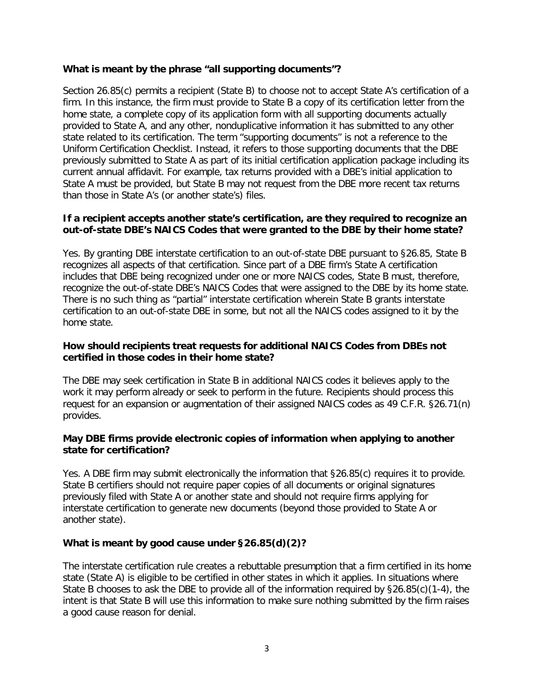### **What is meant by the phrase "all supporting documents"?**

Section 26.85(c) permits a recipient (State B) to choose not to accept State A's certification of a firm. In this instance, the firm must provide to State B a copy of its certification letter from the home state, a complete copy of its application form with all supporting documents actually provided to State A, and any other, nonduplicative information it has submitted to any other state related to its certification. The term "supporting documents" is not a reference to the Uniform Certification Checklist. Instead, it refers to those supporting documents that the DBE previously submitted to State A as part of its initial certification application package including its current annual affidavit. For example, tax returns provided with a DBE's initial application to State A must be provided, but State B may not request from the DBE more recent tax returns than those in State A's (or another state's) files.

### **If a recipient accepts another state's certification, are they required to recognize an out-of-state DBE's NAICS Codes that were granted to the DBE by their home state?**

Yes. By granting DBE interstate certification to an out-of-state DBE pursuant to §26.85, State B recognizes all aspects of that certification. Since part of a DBE firm's State A certification includes that DBE being recognized under one or more NAICS codes, State B must, therefore, recognize the out-of-state DBE's NAICS Codes that were assigned to the DBE by its home state. There is no such thing as "partial" interstate certification wherein State B grants interstate certification to an out-of-state DBE in some, but not all the NAICS codes assigned to it by the home state.

### **How should recipients treat requests for additional NAICS Codes from DBEs not certified in those codes in their home state?**

The DBE may seek certification in State B in additional NAICS codes it believes apply to the work it may perform already or seek to perform in the future. Recipients should process this request for an expansion or augmentation of their assigned NAICS codes as 49 C.F.R. §26.71(n) provides.

### **May DBE firms provide electronic copies of information when applying to another state for certification?**

Yes. A DBE firm may submit electronically the information that §26.85(c) requires it to provide. State B certifiers should not require paper copies of all documents or original signatures previously filed with State A or another state and should not require firms applying for interstate certification to generate new documents (beyond those provided to State A or another state).

# **What is meant by good cause under §26.85(d)(2)?**

The interstate certification rule creates a rebuttable presumption that a firm certified in its home state (State A) is eligible to be certified in other states in which it applies. In situations where State B chooses to ask the DBE to provide all of the information required by §26.85(c)(1-4), the intent is that State B will use this information to make sure nothing submitted by the firm raises a good cause reason for denial.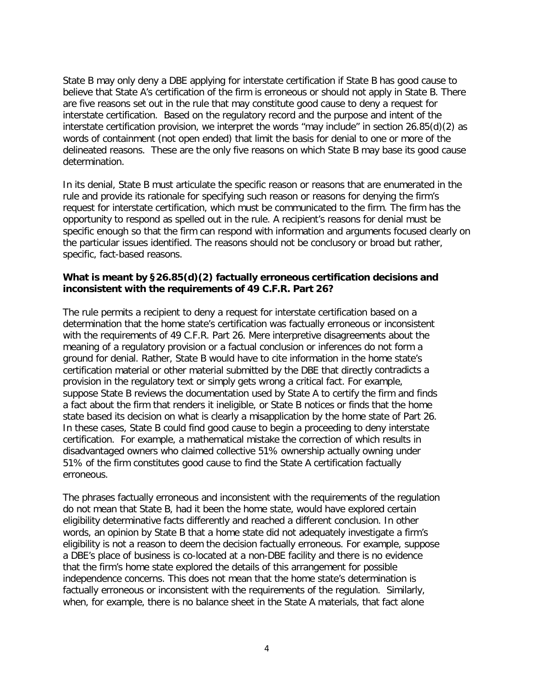State B may only deny a DBE applying for interstate certification if State B has good cause to believe that State A's certification of the firm is erroneous or should not apply in State B. There are five reasons set out in the rule that may constitute good cause to deny a request for interstate certification. Based on the regulatory record and the purpose and intent of the interstate certification provision, we interpret the words "may include" in section 26.85(d)(2) as words of containment (not open ended) that limit the basis for denial to one or more of the delineated reasons. These are the only five reasons on which State B may base its good cause determination.

In its denial, State B must articulate the specific reason or reasons that are enumerated in the rule and provide its rationale for specifying such reason or reasons for denying the firm's request for interstate certification, which must be communicated to the firm. The firm has the opportunity to respond as spelled out in the rule. A recipient's reasons for denial must be specific enough so that the firm can respond with information and arguments focused clearly on the particular issues identified. The reasons should not be conclusory or broad but rather, specific, fact-based reasons.

### **What is meant by §26.85(d)(2) factually erroneous certification decisions and inconsistent with the requirements of 49 C.F.R. Part 26?**

The rule permits a recipient to deny a request for interstate certification based on a determination that the home state's certification was factually erroneous or inconsistent with the requirements of 49 C.F.R. Part 26. Mere interpretive disagreements about the meaning of a regulatory provision or a factual conclusion or inferences do not form a ground for denial. Rather, State B would have to cite information in the home state's certification material or other material submitted by the DBE that directly contradicts a provision in the regulatory text or simply gets wrong a critical fact. For example, suppose State B reviews the documentation used by State A to certify the firm and finds a fact about the firm that renders it ineligible, or State B notices or finds that the home state based its decision on what is clearly a misapplication by the home state of Part 26. In these cases, State B could find good cause to begin a proceeding to deny interstate certification. For example, a mathematical mistake the correction of which results in disadvantaged owners who claimed collective 51% ownership actually owning under 51% of the firm constitutes good cause to find the State A certification factually erroneous.

The phrases factually erroneous and inconsistent with the requirements of the regulation do not mean that State B, had it been the home state, would have explored certain eligibility determinative facts differently and reached a different conclusion. In other words, an opinion by State B that a home state did not adequately investigate a firm's eligibility is not a reason to deem the decision factually erroneous. For example, suppose a DBE's place of business is co-located at a non-DBE facility and there is no evidence that the firm's home state explored the details of this arrangement for possible independence concerns. This does not mean that the home state's determination is factually erroneous or inconsistent with the requirements of the regulation. Similarly, when, for example, there is no balance sheet in the State A materials, that fact alone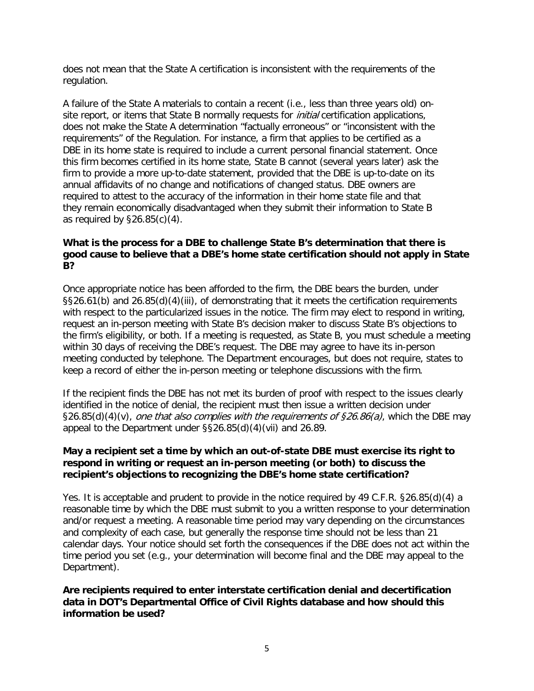does not mean that the State A certification is inconsistent with the requirements of the regulation.

A failure of the State A materials to contain a recent (i.e., less than three years old) onsite report, or items that State B normally requests for *initial* certification applications, does not make the State A determination "factually erroneous" or "inconsistent with the requirements" of the Regulation. For instance, a firm that applies to be certified as a DBE in its home state is required to include a current personal financial statement. Once this firm becomes certified in its home state, State B cannot (several years later) ask the firm to provide a more up-to-date statement, provided that the DBE is up-to-date on its annual affidavits of no change and notifications of changed status. DBE owners are required to attest to the accuracy of the information in their home state file and that they remain economically disadvantaged when they submit their information to State B as required by §26.85(c)(4).

### **What is the process for a DBE to challenge State B's determination that there is good cause to believe that a DBE's home state certification should not apply in State B?**

Once appropriate notice has been afforded to the firm, the DBE bears the burden, under §§26.61(b) and 26.85(d)(4)(iii), of demonstrating that it meets the certification requirements with respect to the particularized issues in the notice. The firm may elect to respond in writing, request an in-person meeting with State B's decision maker to discuss State B's objections to the firm's eligibility, or both. If a meeting is requested, as State B, you must schedule a meeting within 30 days of receiving the DBE's request. The DBE may agree to have its in-person meeting conducted by telephone. The Department encourages, but does not require, states to keep a record of either the in-person meeting or telephone discussions with the firm.

If the recipient finds the DBE has not met its burden of proof with respect to the issues clearly identified in the notice of denial, the recipient must then issue a written decision under §26.85(d)(4)(v), one that also complies with the requirements of §26.86(a), which the DBE may appeal to the Department under §§26.85(d)(4)(vii) and 26.89.

### **May a recipient set a time by which an out-of-state DBE must exercise its right to respond in writing or request an in-person meeting (or both) to discuss the recipient's objections to recognizing the DBE's home state certification?**

Yes. It is acceptable and prudent to provide in the notice required by 49 C.F.R. §26.85(d)(4) a reasonable time by which the DBE must submit to you a written response to your determination and/or request a meeting. A reasonable time period may vary depending on the circumstances and complexity of each case, but generally the response time should not be less than 21 calendar days. Your notice should set forth the consequences if the DBE does not act within the time period you set (e.g., your determination will become final and the DBE may appeal to the Department).

**Are recipients required to enter interstate certification denial and decertification data in DOT's Departmental Office of Civil Rights database and how should this information be used?**